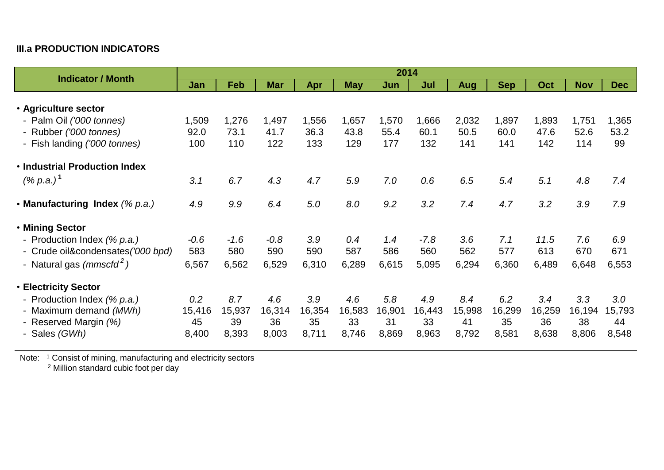## **III.a PRODUCTION INDICATORS**

| <b>Indicator / Month</b>                                                       | 2014                |                     |                     |                     |                     |                     |                     |                     |                     |                     |                     |                     |
|--------------------------------------------------------------------------------|---------------------|---------------------|---------------------|---------------------|---------------------|---------------------|---------------------|---------------------|---------------------|---------------------|---------------------|---------------------|
|                                                                                | Jan                 | <b>Feb</b>          | <b>Mar</b>          | Apr                 | <b>May</b>          | Jun                 | Jul                 | <b>Aug</b>          | <b>Sep</b>          | Oct                 | <b>Nov</b>          | Dec                 |
| • Agriculture sector                                                           |                     |                     |                     |                     |                     |                     |                     |                     |                     |                     |                     |                     |
| - Palm Oil ('000 tonnes)<br>- Rubber ('000 tonnes)                             | 1,509<br>92.0       | 1,276<br>73.1       | 1,497<br>41.7       | 1,556<br>36.3       | 1,657<br>43.8       | 1,570<br>55.4       | 1,666<br>60.1       | 2,032<br>50.5       | 1,897<br>60.0       | 1,893<br>47.6       | 1,751<br>52.6       | 1,365<br>53.2       |
| - Fish landing ('000 tonnes)                                                   | 100                 | 110                 | 122                 | 133                 | 129                 | 177                 | 132                 | 141                 | 141                 | 142                 | 114                 | 99                  |
| <b>· Industrial Production Index</b>                                           |                     |                     |                     |                     |                     |                     |                     |                     |                     |                     |                     |                     |
| $(\%$ p.a.) <sup>1</sup>                                                       | 3.1                 | 6.7                 | 4.3                 | 4.7                 | 5.9                 | 7.0                 | 0.6                 | 6.5                 | 5.4                 | 5.1                 | 4.8                 | 7.4                 |
| • Manufacturing Index (% p.a.)                                                 | 4.9                 | 9.9                 | 6.4                 | 5.0                 | 8.0                 | 9.2                 | 3.2                 | 7.4                 | 4.7                 | 3.2                 | 3.9                 | 7.9                 |
| • Mining Sector                                                                |                     |                     |                     |                     |                     |                     |                     |                     |                     |                     |                     |                     |
| - Production Index (% p.a.)<br>- Crude oil&condensates ('000 bpd)              | $-0.6$<br>583       | $-1.6$<br>580       | $-0.8$<br>590       | 3.9<br>590          | 0.4<br>587          | 1.4<br>586          | $-7.8$<br>560       | 3.6<br>562          | 7.1<br>577          | 11.5<br>613         | 7.6<br>670          | 6.9<br>671          |
| - Natural gas $(mmscfd^2)$                                                     | 6,567               | 6,562               | 6,529               | 6,310               | 6,289               | 6,615               | 5,095               | 6,294               | 6,360               | 6,489               | 6,648               | 6,553               |
| <b>• Electricity Sector</b>                                                    |                     |                     |                     |                     |                     |                     |                     |                     |                     |                     |                     |                     |
| - Production Index (% p.a.)<br>- Maximum demand (MWh)<br>- Reserved Margin (%) | 0.2<br>15,416<br>45 | 8.7<br>15,937<br>39 | 4.6<br>16,314<br>36 | 3.9<br>16,354<br>35 | 4.6<br>16,583<br>33 | 5.8<br>16,901<br>31 | 4.9<br>16,443<br>33 | 8.4<br>15,998<br>41 | 6.2<br>16,299<br>35 | 3.4<br>16,259<br>36 | 3.3<br>16,194<br>38 | 3.0<br>15,793<br>44 |
| - Sales (GWh)                                                                  | 8,400               | 8,393               | 8,003               | 8,711               | 8,746               | 8,869               | 8,963               | 8,792               | 8,581               | 8,638               | 8,806               | 8,548               |

Note: <sup>1</sup> Consist of mining, manufacturing and electricity sectors

<sup>2</sup> Million standard cubic foot per day